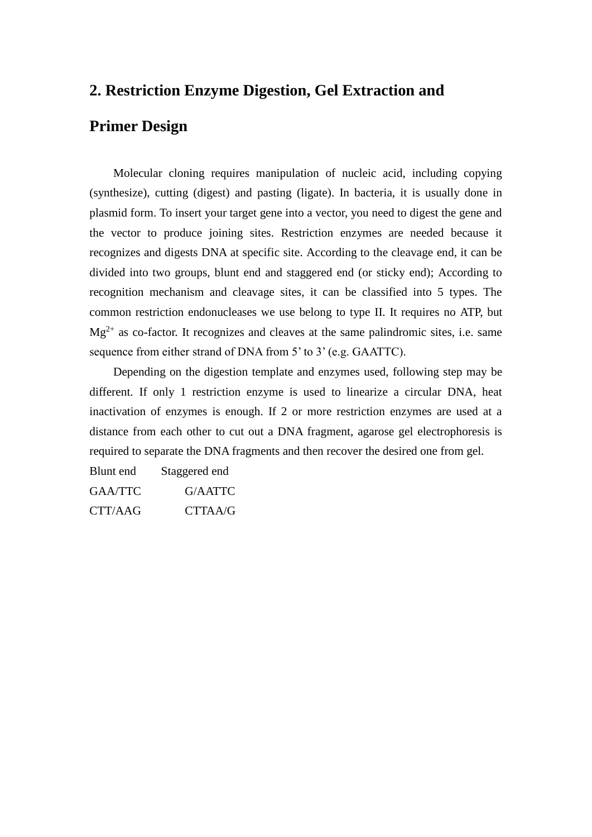## **2. Restriction Enzyme Digestion, Gel Extraction and**

# **Primer Design**

Molecular cloning requires manipulation of nucleic acid, including copying (synthesize), cutting (digest) and pasting (ligate). In bacteria, it is usually done in plasmid form. To insert your target gene into a vector, you need to digest the gene and the vector to produce joining sites. Restriction enzymes are needed because it recognizes and digests DNA at specific site. According to the cleavage end, it can be divided into two groups, blunt end and staggered end (or sticky end); According to recognition mechanism and cleavage sites, it can be classified into 5 types. The common restriction endonucleases we use belong to type II. It requires no ATP, but  $Mg^{2+}$  as co-factor. It recognizes and cleaves at the same palindromic sites, i.e. same sequence from either strand of DNA from 5' to 3' (e.g. GAATTC).

Depending on the digestion template and enzymes used, following step may be different. If only 1 restriction enzyme is used to linearize a circular DNA, heat inactivation of enzymes is enough. If 2 or more restriction enzymes are used at a distance from each other to cut out a DNA fragment, agarose gel electrophoresis is required to separate the DNA fragments and then recover the desired one from gel.

Blunt end Staggered end GAA/TTC G/AATTC CTT/AAG CTTAA/G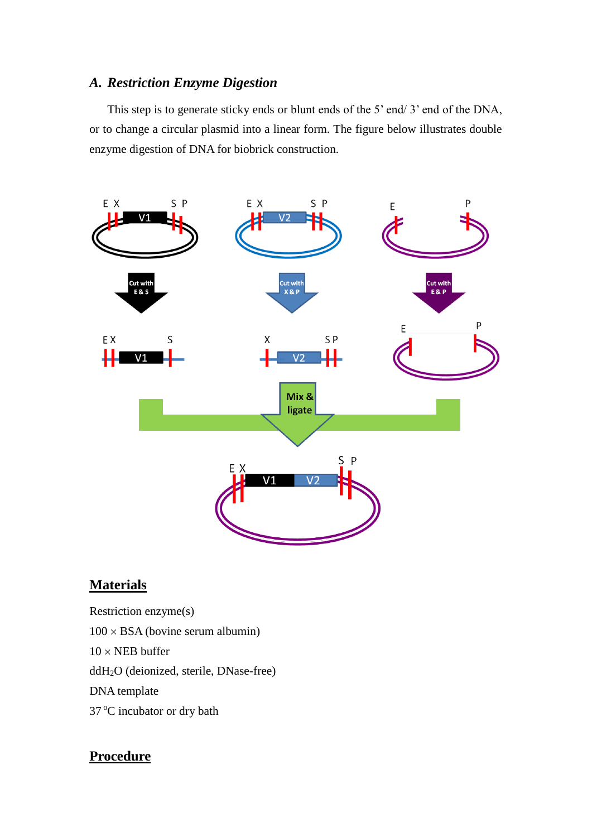## *A. Restriction Enzyme Digestion*

This step is to generate sticky ends or blunt ends of the 5' end/ 3' end of the DNA, or to change a circular plasmid into a linear form. The figure below illustrates double enzyme digestion of DNA for biobrick construction.



## **Materials**

Restriction enzyme(s)  $100 \times BSA$  (bovine serum albumin)  $10 \times \text{NEB}$  buffer ddH2O (deionized, sterile, DNase-free) DNA template 37 °C incubator or dry bath

# **Procedure**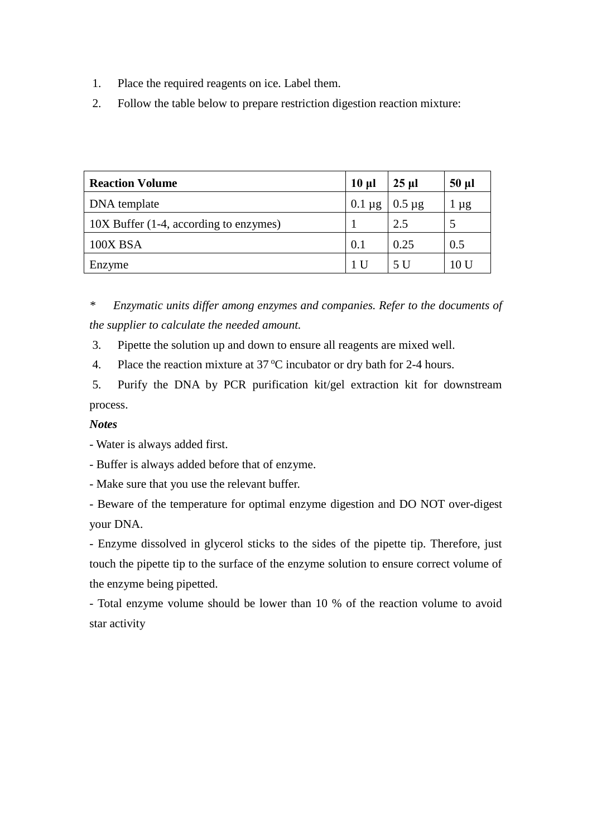- 1. Place the required reagents on ice. Label them.
- 2. Follow the table below to prepare restriction digestion reaction mixture:

| <b>Reaction Volume</b>                 | $10 \mu$    | $25 \mu$    | $50 \mu l$ |
|----------------------------------------|-------------|-------------|------------|
| DNA template                           | $0.1 \mu g$ | $0.5 \mu$ g | $\mu$ g    |
| 10X Buffer (1-4, according to enzymes) |             | 2.5         | 5          |
| 100X BSA                               | 0.1         | 0.25        | 0.5        |
| Enzyme                                 | 1 U         | 5 U         | 10 U       |

*\* Enzymatic units differ among enzymes and companies. Refer to the documents of the supplier to calculate the needed amount.* 

3. Pipette the solution up and down to ensure all reagents are mixed well.

4. Place the reaction mixture at  $37^{\circ}$ C incubator or dry bath for 2-4 hours.

5. Purify the DNA by PCR purification kit/gel extraction kit for downstream process.

### *Notes*

- Water is always added first.

- Buffer is always added before that of enzyme.

- Make sure that you use the relevant buffer.

- Beware of the temperature for optimal enzyme digestion and DO NOT over-digest your DNA.

- Enzyme dissolved in glycerol sticks to the sides of the pipette tip. Therefore, just touch the pipette tip to the surface of the enzyme solution to ensure correct volume of the enzyme being pipetted.

- Total enzyme volume should be lower than 10 % of the reaction volume to avoid star activity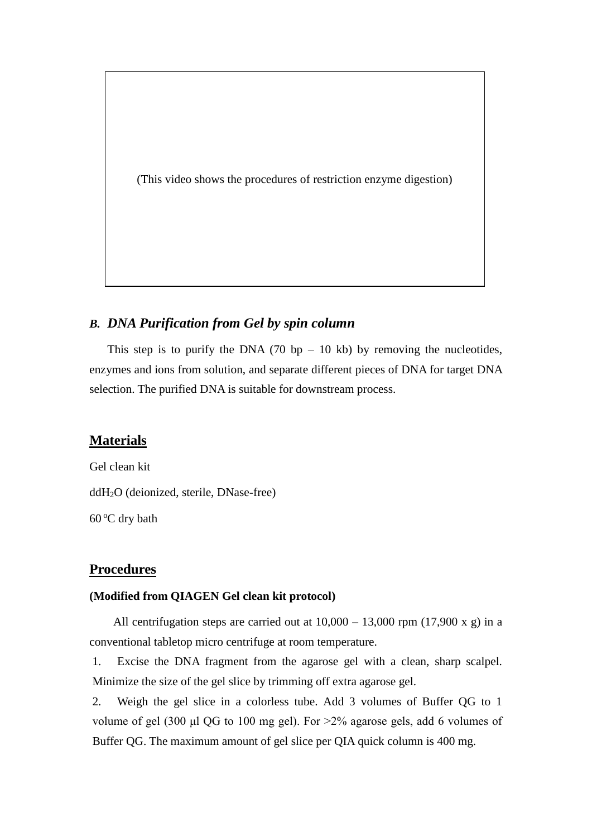(This video shows the procedures of restriction enzyme digestion)

## *B. DNA Purification from Gel by spin column*

This step is to purify the DNA (70 bp  $-10$  kb) by removing the nucleotides, enzymes and ions from solution, and separate different pieces of DNA for target DNA selection. The purified DNA is suitable for downstream process.

### **Materials**

Gel clean kit ddH2O (deionized, sterile, DNase-free)  $60^{\circ}$ C dry bath

### **Procedures**

#### **(Modified from QIAGEN Gel clean kit protocol)**

All centrifugation steps are carried out at  $10,000 - 13,000$  rpm (17,900 x g) in a conventional tabletop micro centrifuge at room temperature.

1. Excise the DNA fragment from the agarose gel with a clean, sharp scalpel. Minimize the size of the gel slice by trimming off extra agarose gel.

2. Weigh the gel slice in a colorless tube. Add 3 volumes of Buffer QG to 1 volume of gel (300 μl QG to 100 mg gel). For >2% agarose gels, add 6 volumes of Buffer QG. The maximum amount of gel slice per QIA quick column is 400 mg.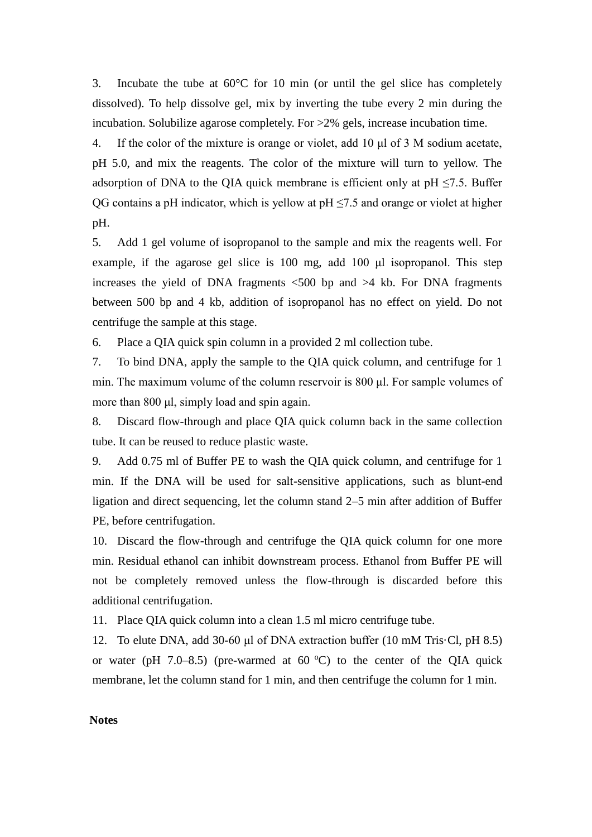3. Incubate the tube at  $60^{\circ}$ C for 10 min (or until the gel slice has completely dissolved). To help dissolve gel, mix by inverting the tube every 2 min during the incubation. Solubilize agarose completely. For >2% gels, increase incubation time.

4. If the color of the mixture is orange or violet, add 10 μl of 3 M sodium acetate, pH 5.0, and mix the reagents. The color of the mixture will turn to yellow. The adsorption of DNA to the QIA quick membrane is efficient only at  $pH \le 7.5$ . Buffer QG contains a pH indicator, which is yellow at  $pH \le 7.5$  and orange or violet at higher pH.

5. Add 1 gel volume of isopropanol to the sample and mix the reagents well. For example, if the agarose gel slice is 100 mg, add 100 μl isopropanol. This step increases the yield of DNA fragments  $\langle 500 \rangle$  bp and  $>4$  kb. For DNA fragments between 500 bp and 4 kb, addition of isopropanol has no effect on yield. Do not centrifuge the sample at this stage.

6. Place a QIA quick spin column in a provided 2 ml collection tube.

7. To bind DNA, apply the sample to the QIA quick column, and centrifuge for 1 min. The maximum volume of the column reservoir is 800 μl. For sample volumes of more than 800 μl, simply load and spin again.

8. Discard flow-through and place QIA quick column back in the same collection tube. It can be reused to reduce plastic waste.

9. Add 0.75 ml of Buffer PE to wash the QIA quick column, and centrifuge for 1 min. If the DNA will be used for salt-sensitive applications, such as blunt-end ligation and direct sequencing, let the column stand 2–5 min after addition of Buffer PE, before centrifugation.

10. Discard the flow-through and centrifuge the QIA quick column for one more min. Residual ethanol can inhibit downstream process. Ethanol from Buffer PE will not be completely removed unless the flow-through is discarded before this additional centrifugation.

11. Place QIA quick column into a clean 1.5 ml micro centrifuge tube.

12. To elute DNA, add 30-60 μl of DNA extraction buffer (10 mM Tris·Cl, pH 8.5) or water (pH  $7.0-8.5$ ) (pre-warmed at  $60^{\circ}$ C) to the center of the QIA quick membrane, let the column stand for 1 min, and then centrifuge the column for 1 min.

#### **Notes**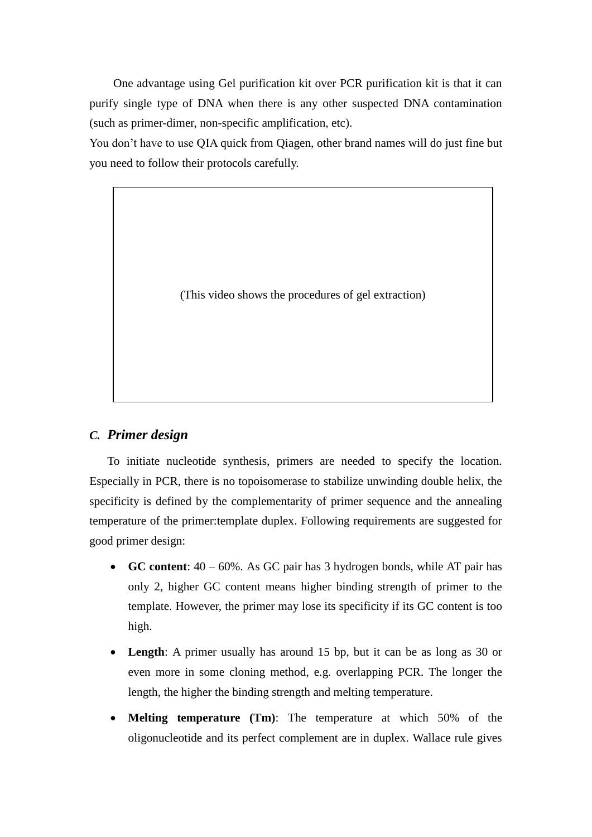One advantage using Gel purification kit over PCR purification kit is that it can purify single type of DNA when there is any other suspected DNA contamination (such as primer-dimer, non-specific amplification, etc).

You don't have to use QIA quick from Qiagen, other brand names will do just fine but you need to follow their protocols carefully.

(This video shows the procedures of gel extraction)

#### *C. Primer design*

To initiate nucleotide synthesis, primers are needed to specify the location. Especially in PCR, there is no topoisomerase to stabilize unwinding double helix, the specificity is defined by the complementarity of primer sequence and the annealing temperature of the primer:template duplex. Following requirements are suggested for good primer design:

- **GC content**: 40 60%. As GC pair has 3 hydrogen bonds, while AT pair has only 2, higher GC content means higher binding strength of primer to the template. However, the primer may lose its specificity if its GC content is too high.
- **Length**: A primer usually has around 15 bp, but it can be as long as 30 or even more in some cloning method, e.g. overlapping PCR. The longer the length, the higher the binding strength and melting temperature.
- **Melting temperature (Tm)**: The temperature at which 50% of the oligonucleotide and its perfect complement are in duplex. Wallace rule gives